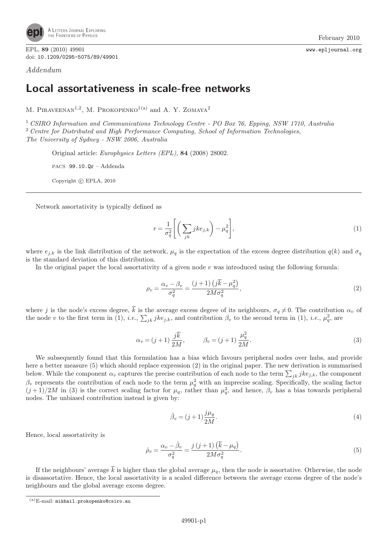

EPL, 89 (2010) 49901 www.epljournal.org doi: 10.1209/0295-5075/89/49901

Addendum

## Local assortativeness in scale-free networks

M. PIRAVEENAN<sup>1,2</sup>, M. PROKOPENKO<sup>1(a)</sup> and A. Y. ZOMAYA<sup>2</sup>

<sup>1</sup> CSIRO Information and Communications Technology Centre - PO Box 76, Epping, NSW 1710, Australia <sup>2</sup> Centre for Distributed and High Performance Computing, School of Information Technologies, The University of Sydney - NSW 2006, Australia

Original article: Europhysics Letters (EPL), 84 (2008) 28002.

PACS 99.10.Qr – Addenda

Copyright  $\odot$  EPLA, 2010

Network assortativity is typically defined as

$$
r = \frac{1}{\sigma_q^2} \left[ \left( \sum_{jk} j k e_{j,k} \right) - \mu_q^2 \right],\tag{1}
$$

where  $e_{j,k}$  is the link distribution of the network,  $\mu_q$  is the expectation of the excess degree distribution  $q(k)$  and  $\sigma_q$ is the standard deviation of this distribution.

In the original paper the local assortativity of a given node v was introduced using the following formula:

$$
\rho_v = \frac{\alpha_v - \beta_v}{\sigma_q^2} = \frac{(j+1)\left(j\overline{k} - \mu_q^2\right)}{2M\sigma_q^2},\tag{2}
$$

where j is the node's excess degree, k is the average excess degree of its neighbours,  $\sigma_q \neq 0$ . The contribution  $\alpha_v$  of the node v to the first term in (1), *i.e.*,  $\sum_{jk} j k e_{j,k}$ , and contribution  $\beta_v$  to the second term in (1), *i.e.*,  $\mu_q^2$ , are

$$
\alpha_v = (j+1) \frac{j\overline{k}}{2M}, \qquad \beta_v = (j+1) \frac{\mu_q^2}{2M}.
$$
 (3)

We subsequently found that this formulation has a bias which favours peripheral nodes over hubs, and provide here a better measure (5) which should replace expression (2) in the original paper. The new derivation is summarised below. While the component  $\alpha_v$  captures the precise contribution of each node to the term  $\sum_{jk} j k e_{j,k}$ , the component  $\beta_v$  represents the contribution of each node to the term  $\mu_q^2$  with an imprecise scaling. Specifically, the scaling factor  $(j+1)/2M$  in (3) is the correct scaling factor for  $\mu_q$ , rather than  $\mu_q^2$ , and hence,  $\beta_v$  has a bias towards peripheral nodes. The unbiased contribution instead is given by:

$$
\hat{\beta}_v = (j+1)\frac{j\mu_q}{2M}.\tag{4}
$$

Hence, local assortativity is

$$
\hat{\rho}_v = \frac{\alpha_v - \hat{\beta}_v}{\sigma_q^2} = \frac{j(j+1)\left(\bar{k} - \mu_q\right)}{2M\sigma_q^2}.\tag{5}
$$

If the neighbours' average  $\overline{k}$  is higher than the global average  $\mu_q$ , then the node is assortative. Otherwise, the node is disassortative. Hence, the local assortativity is a scaled difference between the average excess degree of the node's neighbours and the global average excess degree.

 ${}^{({\rm a})}$ E-mail: mikhail.prokopenko@csiro.au